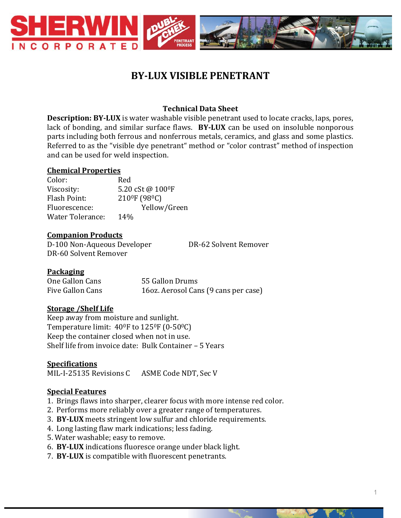

# **BY-LUX VISIBLE PENETRANT**

# **Technical Data Sheet**

**Description: BY-LUX** is water washable visible penetrant used to locate cracks, laps, pores, lack of bonding, and similar surface flaws. **BY-LUX** can be used on insoluble nonporous parts including both ferrous and nonferrous metals, ceramics, and glass and some plastics. Referred to as the "visible dye penetrant" method or "color contrast" method of inspection and can be used for weld inspection.

#### **Chemical Properties**

Color: Red Viscosity:  $5.20 \text{ cSt } \omega 100^\circ \text{F}$ Flash Point: 2100F (980C) Fluorescence: Yellow/Green Water Tolerance: 14%

#### **Companion Products**

D-100 Non-Aqueous Developer DR-62 Solvent Remover DR-60 Solvent Remover

#### **Packaging**

| One Gallon Cans  | 55 Gallon Drums                      |
|------------------|--------------------------------------|
| Five Gallon Cans | 160z. Aerosol Cans (9 cans per case) |

#### **Storage /Shelf Life**

Keep away from moisture and sunlight. Temperature limit: 40<sup>o</sup>F to 125<sup>o</sup>F (0-50<sup>o</sup>C) Keep the container closed when not in use. Shelf life from invoice date: Bulk Container – 5 Years

#### **Specifications**

MIL-I-25135 Revisions C ASME Code NDT, Sec V

# **Special Features**

- 1. Brings flaws into sharper, clearer focus with more intense red color.
- 2. Performs more reliably over a greater range of temperatures.
- 3. **BY-LUX** meets stringent low sulfur and chloride requirements.
- 4. Long lasting flaw mark indications; less fading.
- 5. Water washable; easy to remove.
- 6. **BY-LUX** indications fluoresce orange under black light.
- 7. **BY-LUX** is compatible with fluorescent penetrants.